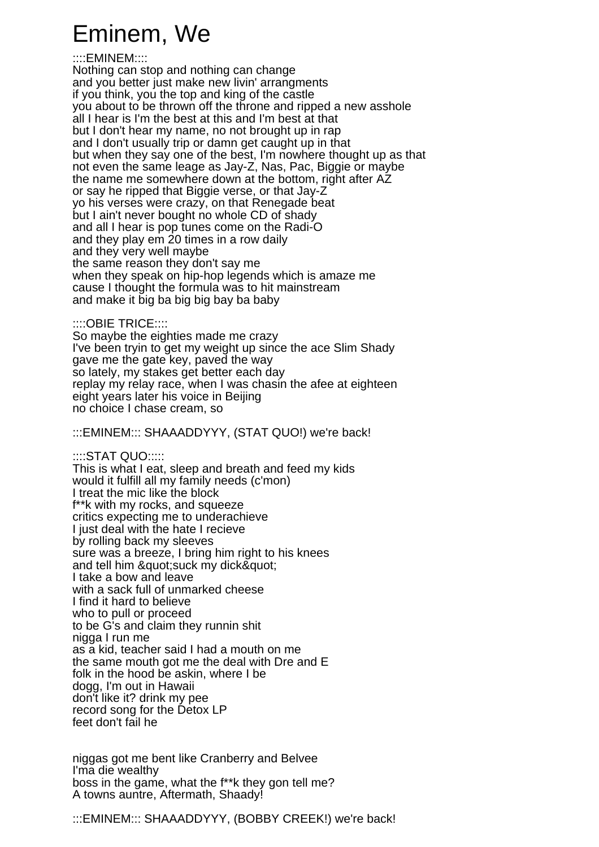## Eminem, We

## ::::EMINEM::::

Nothing can stop and nothing can change and you better just make new livin' arrangments if you think, you the top and king of the castle you about to be thrown off the throne and ripped a new asshole all I hear is I'm the best at this and I'm best at that but I don't hear my name, no not brought up in rap and I don't usually trip or damn get caught up in that but when they say one of the best, I'm nowhere thought up as that not even the same leage as Jay-Z, Nas, Pac, Biggie or maybe the name me somewhere down at the bottom, right after AZ or say he ripped that Biggie verse, or that Jay-Z yo his verses were crazy, on that Renegade beat but I ain't never bought no whole CD of shady and all I hear is pop tunes come on the Radi-O and they play em 20 times in a row daily and they very well maybe the same reason they don't say me when they speak on hip-hop legends which is amaze me cause I thought the formula was to hit mainstream and make it big ba big big bay ba baby

## ::::OBIE TRICE::::

So maybe the eighties made me crazy I've been tryin to get my weight up since the ace Slim Shady gave me the gate key, paved the way so lately, my stakes get better each day replay my relay race, when I was chasin the afee at eighteen eight years later his voice in Beijing no choice I chase cream, so

:::EMINEM::: SHAAADDYYY, (STAT QUO!) we're back!

## ::::STAT QUO::::: This is what I eat, sleep and breath and feed my kids would it fulfill all my family needs (c'mon) I treat the mic like the block f\*\*k with my rocks, and squeeze critics expecting me to underachieve I just deal with the hate I recieve by rolling back my sleeves sure was a breeze, I bring him right to his knees and tell him & quot; suck my dick & quot; I take a bow and leave with a sack full of unmarked cheese I find it hard to believe who to pull or proceed to be G's and claim they runnin shit nigga I run me as a kid, teacher said I had a mouth on me the same mouth got me the deal with Dre and E folk in the hood be askin, where I be dogg, I'm out in Hawaii don't like it? drink my pee record song for the Detox LP feet don't fail he

niggas got me bent like Cranberry and Belvee I'ma die wealthy boss in the game, what the f\*\*k they gon tell me? A towns auntre, Aftermath, Shaady!